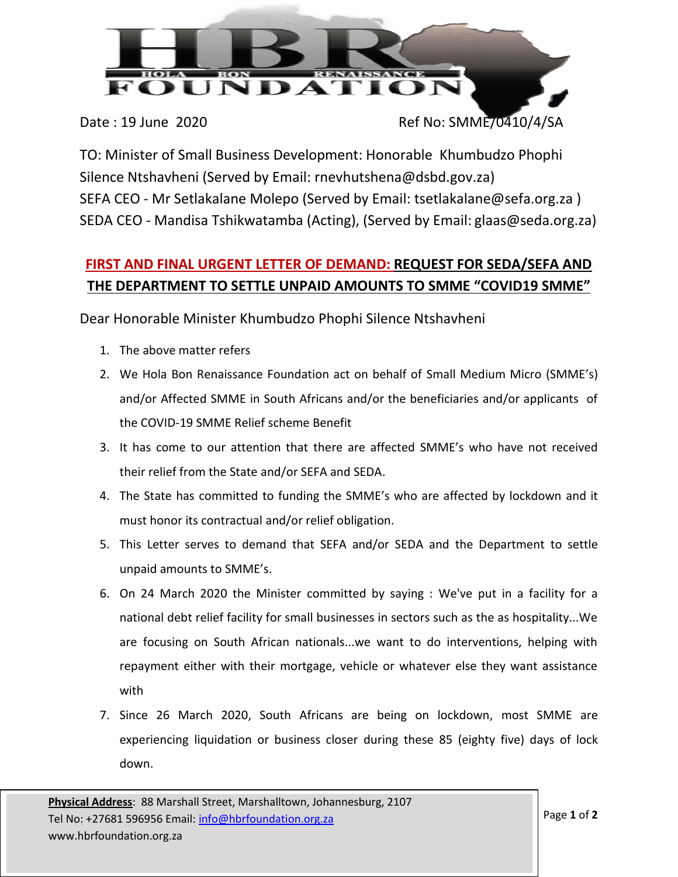

TO: Minister of Small Business Development: Honorable Khumbudzo Phophi Silence Ntshavheni (Served by Email: rnevhutshena@dsbd.gov.za) SEFA CEO - Mr Setlakalane Molepo (Served by Email: tsetlakalane@sefa.org.za ) SEDA CEO - Mandisa Tshikwatamba (Acting), (Served by Email: glaas@seda.org.za)

## **FIRST AND FINAL URGENT LETTER OF DEMAND: REQUEST FOR SEDA/SEFA AND THE DEPARTMENT TO SETTLE UNPAID AMOUNTS TO SMME "COVID19 SMME"**

Dear Honorable Minister Khumbudzo Phophi Silence Ntshavheni

- 1. The above matter refers
- 2. We Hola Bon Renaissance Foundation act on behalf of Small Medium Micro (SMME's) and/or Affected SMME in South Africans and/or the beneficiaries and/or applicants of the COVID-19 SMME Relief scheme Benefit
- 3. It has come to our attention that there are affected SMME's who have not received their relief from the State and/or SEFA and SEDA.
- 4. The State has committed to funding the SMME's who are affected by lockdown and it must honor its contractual and/or relief obligation.
- 5. This Letter serves to demand that SEFA and/or SEDA and the Department to settle unpaid amounts to SMME's.
- 6. On 24 March 2020 the Minister committed by saying : We've put in a facility for a national debt relief facility for small businesses in sectors such as the as hospitality...We are focusing on South African nationals...we want to do interventions, helping with repayment either with their mortgage, vehicle or whatever else they want assistance with
- 7. Since 26 March 2020, South Africans are being on lockdown, most SMME are experiencing liquidation or business closer during these 85 (eighty five) days of lock down.

Date: 19 June 2020 Ref No: SMME/0410/4/SA